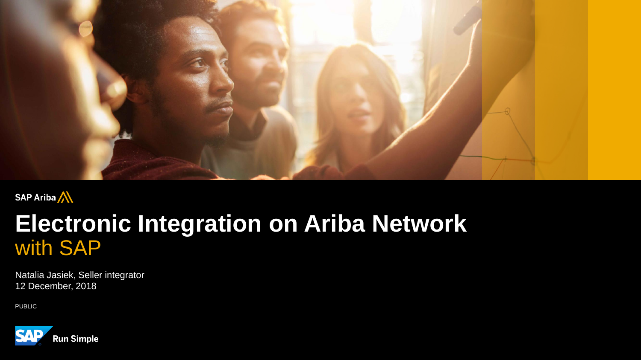

#### SAP Ariba

## **Electronic Integration on Ariba Network** with SAP

Natalia Jasiek, Seller integrator 12 December, 2018

PUBLIC

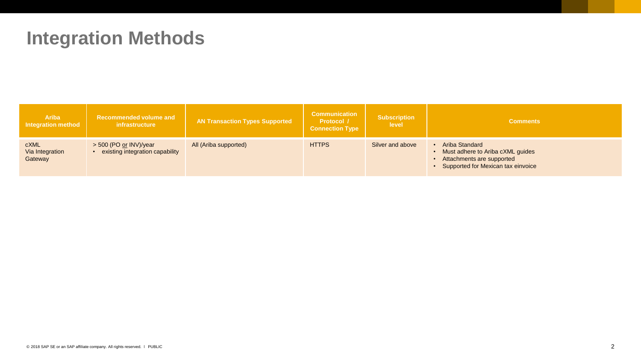## **Integration Methods**

| <b>Ariba</b><br><b>Integration method</b> | Recommended volume and<br>infrastructure                  | <b>AN Transaction Types Supported</b> | <b>Communication</b><br><b>Protocol</b> /<br><b>Connection Type</b> | <b>Subscription</b><br>level | <b>Comments</b>                                                                                                       |
|-------------------------------------------|-----------------------------------------------------------|---------------------------------------|---------------------------------------------------------------------|------------------------------|-----------------------------------------------------------------------------------------------------------------------|
| <b>cXML</b><br>Via Integration<br>Gateway | > 500 (PO or INV)/year<br>existing integration capability | All (Ariba supported)                 | <b>HTTPS</b>                                                        | Silver and above             | Ariba Standard<br>Must adhere to Ariba cXML guides<br>Attachments are supported<br>Supported for Mexican tax einvoice |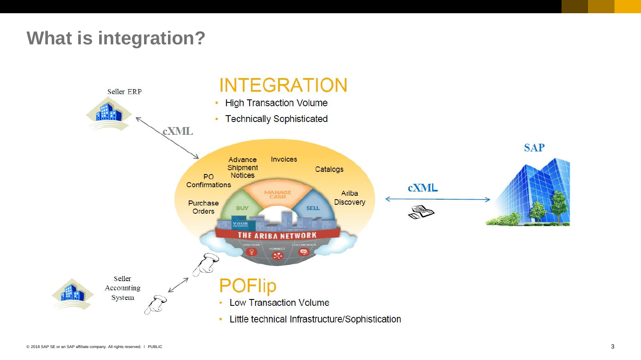## **What is integration?**

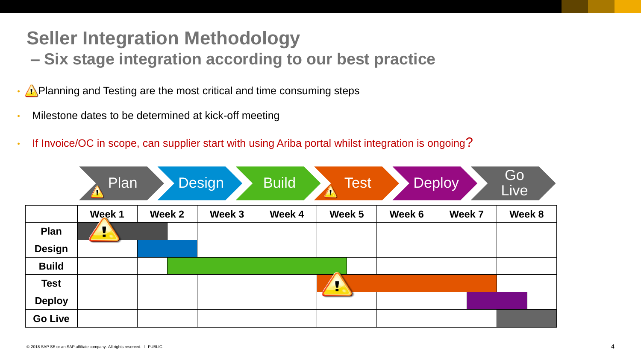### **Seller Integration Methodology – Six stage integration according to our best practice**

 $\cdot$  **A** Planning and Testing are the most critical and time consuming steps

- Milestone dates to be determined at kick-off meeting
- If Invoice/OC in scope, can supplier start with using Ariba portal whilst integration is ongoing?

|                | Plan   |        | <b>Design</b> | <b>Build</b> | <b>Test</b><br>$\sqrt{\lambda}$ |        | <b>Deploy</b> | Go<br>Live |
|----------------|--------|--------|---------------|--------------|---------------------------------|--------|---------------|------------|
|                | Week 1 | Week 2 | Week 3        | Week 4       | Week 5                          | Week 6 | Week 7        | Week 8     |
| Plan           | ÷      |        |               |              |                                 |        |               |            |
| <b>Design</b>  |        |        |               |              |                                 |        |               |            |
| <b>Build</b>   |        |        |               |              |                                 |        |               |            |
| <b>Test</b>    |        |        |               |              | $\mathbf{L}$                    |        |               |            |
| <b>Deploy</b>  |        |        |               |              |                                 |        |               |            |
| <b>Go Live</b> |        |        |               |              |                                 |        |               |            |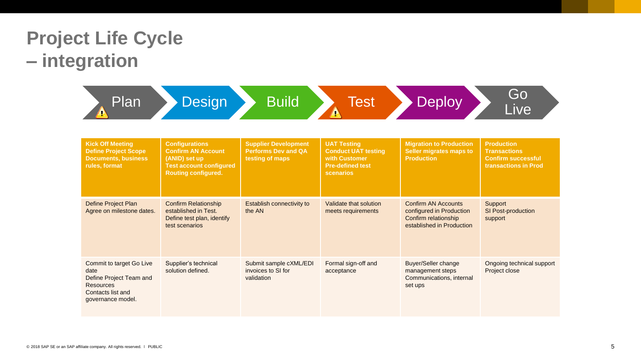## **Project Life Cycle – integration**

| Plan                                                                                                                      | <b>Design</b>                                                                                                                       | <b>Build</b>                                                                 | <b>Test</b>                                                                                               | <b>Deploy</b>                                                                                               | Go<br>Live                                                                                    |
|---------------------------------------------------------------------------------------------------------------------------|-------------------------------------------------------------------------------------------------------------------------------------|------------------------------------------------------------------------------|-----------------------------------------------------------------------------------------------------------|-------------------------------------------------------------------------------------------------------------|-----------------------------------------------------------------------------------------------|
| <b>Kick Off Meeting</b><br><b>Define Project Scope</b><br><b>Documents, business</b><br>rules, format                     | <b>Configurations</b><br><b>Confirm AN Account</b><br>(ANID) set up<br><b>Test account configured</b><br><b>Routing configured.</b> | <b>Supplier Development</b><br><b>Performs Dev and QA</b><br>testing of maps | <b>UAT Testing</b><br><b>Conduct UAT testing</b><br>with Customer<br><b>Pre-defined test</b><br>scenarios | <b>Migration to Production</b><br>Seller migrates maps to<br><b>Production</b>                              | <b>Production</b><br><b>Transactions</b><br><b>Confirm successful</b><br>transactions in Prod |
| Define Project Plan<br>Agree on milestone dates.                                                                          | <b>Confirm Relationship</b><br>established in Test.<br>Define test plan, identify<br>test scenarios                                 | Establish connectivity to<br>the AN                                          | Validate that solution<br>meets requirements                                                              | <b>Confirm AN Accounts</b><br>configured in Production<br>Confirm relationship<br>established in Production | Support<br>SI Post-production<br>support                                                      |
| Commit to target Go Live<br>date<br>Define Project Team and<br><b>Resources</b><br>Contacts list and<br>governance model. | Supplier's technical<br>solution defined.                                                                                           | Submit sample cXML/EDI<br>invoices to SI for<br>validation                   | Formal sign-off and<br>acceptance                                                                         | <b>Buyer/Seller change</b><br>management steps<br>Communications, internal<br>set ups                       | Ongoing technical support<br>Project close                                                    |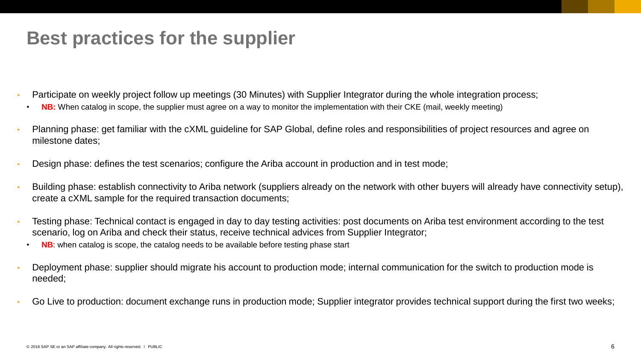## **Best practices for the supplier**

- Participate on weekly project follow up meetings (30 Minutes) with Supplier Integrator during the whole integration process;
	- **NB:** When catalog in scope, the supplier must agree on a way to monitor the implementation with their CKE (mail, weekly meeting)
- Planning phase: get familiar with the cXML guideline for SAP Global, define roles and responsibilities of project resources and agree on milestone dates;
- Design phase: defines the test scenarios; configure the Ariba account in production and in test mode;
- Building phase: establish connectivity to Ariba network (suppliers already on the network with other buyers will already have connectivity setup), create a cXML sample for the required transaction documents;
- Testing phase: Technical contact is engaged in day to day testing activities: post documents on Ariba test environment according to the test scenario, log on Ariba and check their status, receive technical advices from Supplier Integrator;
	- **NB:** when catalog is scope, the catalog needs to be available before testing phase start
- Deployment phase: supplier should migrate his account to production mode; internal communication for the switch to production mode is needed;
- Go Live to production: document exchange runs in production mode; Supplier integrator provides technical support during the first two weeks;